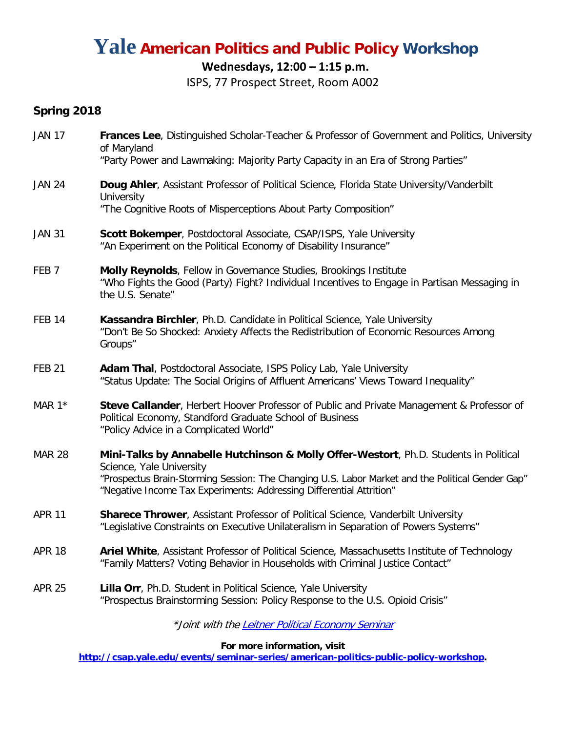# **Yale American Politics and Public Policy Workshop**

### **Wednesdays, 12:00 – 1:15 p.m.**

ISPS, 77 Prospect Street, Room A002

### **Spring 2018**

| <b>JAN 17</b>    | Frances Lee, Distinguished Scholar-Teacher & Professor of Government and Politics, University<br>of Maryland                                                                                                                                                                                  |
|------------------|-----------------------------------------------------------------------------------------------------------------------------------------------------------------------------------------------------------------------------------------------------------------------------------------------|
|                  | "Party Power and Lawmaking: Majority Party Capacity in an Era of Strong Parties"                                                                                                                                                                                                              |
| <b>JAN 24</b>    | Doug Ahler, Assistant Professor of Political Science, Florida State University/Vanderbilt<br>University                                                                                                                                                                                       |
|                  | "The Cognitive Roots of Misperceptions About Party Composition"                                                                                                                                                                                                                               |
| <b>JAN 31</b>    | Scott Bokemper, Postdoctoral Associate, CSAP/ISPS, Yale University<br>"An Experiment on the Political Economy of Disability Insurance"                                                                                                                                                        |
| FEB <sub>7</sub> | Molly Reynolds, Fellow in Governance Studies, Brookings Institute<br>"Who Fights the Good (Party) Fight? Individual Incentives to Engage in Partisan Messaging in<br>the U.S. Senate"                                                                                                         |
| <b>FEB 14</b>    | Kassandra Birchler, Ph.D. Candidate in Political Science, Yale University<br>"Don't Be So Shocked: Anxiety Affects the Redistribution of Economic Resources Among<br>Groups"                                                                                                                  |
| <b>FEB 21</b>    | Adam Thal, Postdoctoral Associate, ISPS Policy Lab, Yale University<br>"Status Update: The Social Origins of Affluent Americans' Views Toward Inequality"                                                                                                                                     |
| MAR $1*$         | Steve Callander, Herbert Hoover Professor of Public and Private Management & Professor of<br>Political Economy, Standford Graduate School of Business<br>"Policy Advice in a Complicated World"                                                                                               |
| <b>MAR 28</b>    | Mini-Talks by Annabelle Hutchinson & Molly Offer-Westort, Ph.D. Students in Political<br>Science, Yale University<br>"Prospectus Brain-Storming Session: The Changing U.S. Labor Market and the Political Gender Gap"<br>"Negative Income Tax Experiments: Addressing Differential Attrition" |
| <b>APR 11</b>    | Sharece Thrower, Assistant Professor of Political Science, Vanderbilt University<br>"Legislative Constraints on Executive Unilateralism in Separation of Powers Systems"                                                                                                                      |
| <b>APR 18</b>    | Ariel White, Assistant Professor of Political Science, Massachusetts Institute of Technology<br>"Family Matters? Voting Behavior in Households with Criminal Justice Contact"                                                                                                                 |
| <b>APR 25</b>    | Lilla Orr, Ph.D. Student in Political Science, Yale University<br>"Prospectus Brainstorming Session: Policy Response to the U.S. Opioid Crisis"                                                                                                                                               |
|                  |                                                                                                                                                                                                                                                                                               |

\*Joint with th[e Leitner Political Economy Seminar](http://leitner.yale.edu/leitner-political-economy-seminar-0)

**For more information, visit**

**[http://csap.yale.edu/events/seminar-series/american-politics-public-policy-workshop.](http://csap.yale.edu/events/seminar-series/american-politics-public-policy-workshop)**